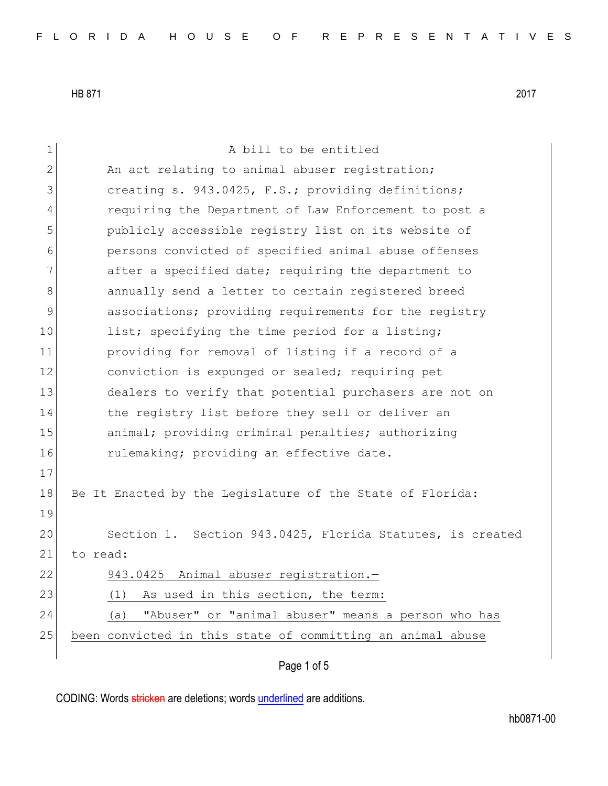1 a bill to be entitled 2 An act relating to animal abuser registration; 3 **Superior** creating s. 943.0425, F.S.; providing definitions; 4 requiring the Department of Law Enforcement to post a 5 publicly accessible registry list on its website of 6 persons convicted of specified animal abuse offenses 7 after a specified date; requiring the department to 8 8 8 annually send a letter to certain registered breed 9 associations; providing requirements for the registry 10 list; specifying the time period for a listing; 11 providing for removal of listing if a record of a 12 conviction is expunged or sealed; requiring pet 13 dealers to verify that potential purchasers are not on 14 the registry list before they sell or deliver an 15 animal; providing criminal penalties; authorizing 16 rulemaking; providing an effective date. 17 18 Be It Enacted by the Legislature of the State of Florida: 19 20 Section 1. Section 943.0425, Florida Statutes, is created 21 to read: 22 943.0425 Animal abuser registration.-23 (1) As used in this section, the term: 24 (a) "Abuser" or "animal abuser" means a person who has 25 been convicted in this state of committing an animal abuse

Page 1 of 5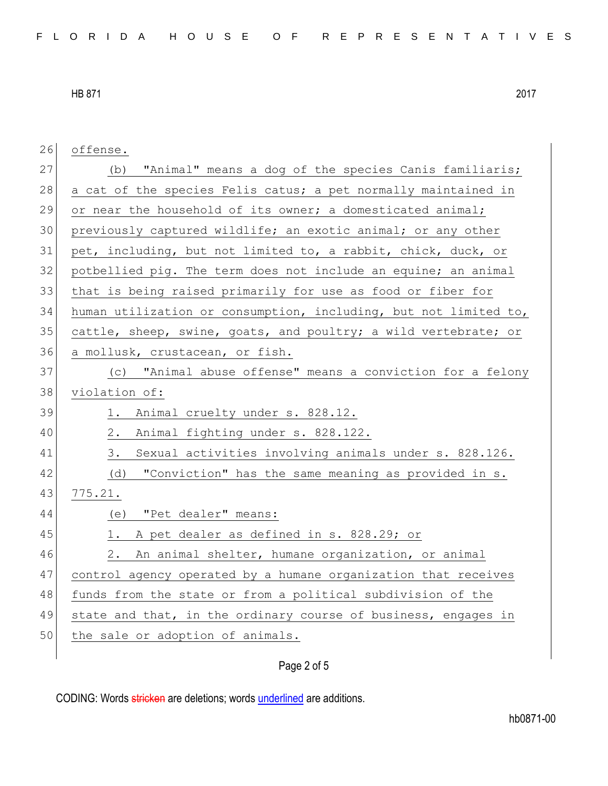| 26 | offense.                                                         |
|----|------------------------------------------------------------------|
|    |                                                                  |
| 27 | "Animal" means a dog of the species Canis familiaris;<br>(b)     |
| 28 | a cat of the species Felis catus; a pet normally maintained in   |
| 29 | or near the household of its owner; a domesticated animal;       |
| 30 | previously captured wildlife; an exotic animal; or any other     |
| 31 | pet, including, but not limited to, a rabbit, chick, duck, or    |
| 32 | potbellied pig. The term does not include an equine; an animal   |
| 33 | that is being raised primarily for use as food or fiber for      |
| 34 | human utilization or consumption, including, but not limited to, |
| 35 | cattle, sheep, swine, goats, and poultry; a wild vertebrate; or  |
| 36 | a mollusk, crustacean, or fish.                                  |
| 37 | (c) "Animal abuse offense" means a conviction for a felony       |
| 38 | violation of:                                                    |
| 39 | 1.<br>Animal cruelty under s. 828.12.                            |
| 40 | Animal fighting under s. 828.122.<br>2.                          |
| 41 | Sexual activities involving animals under s. 828.126.<br>3.      |
| 42 | "Conviction" has the same meaning as provided in s.<br>(d)       |
| 43 | 775.21.                                                          |
| 44 | "Pet dealer" means:<br>(e)                                       |
| 45 | A pet dealer as defined in s. 828.29; or<br>1.                   |
| 46 | An animal shelter, humane organization, or animal<br>2.          |
| 47 | control agency operated by a humane organization that receives   |
| 48 | funds from the state or from a political subdivision of the      |
| 49 | state and that, in the ordinary course of business, engages in   |
| 50 | the sale or adoption of animals.                                 |
|    |                                                                  |

## Page 2 of 5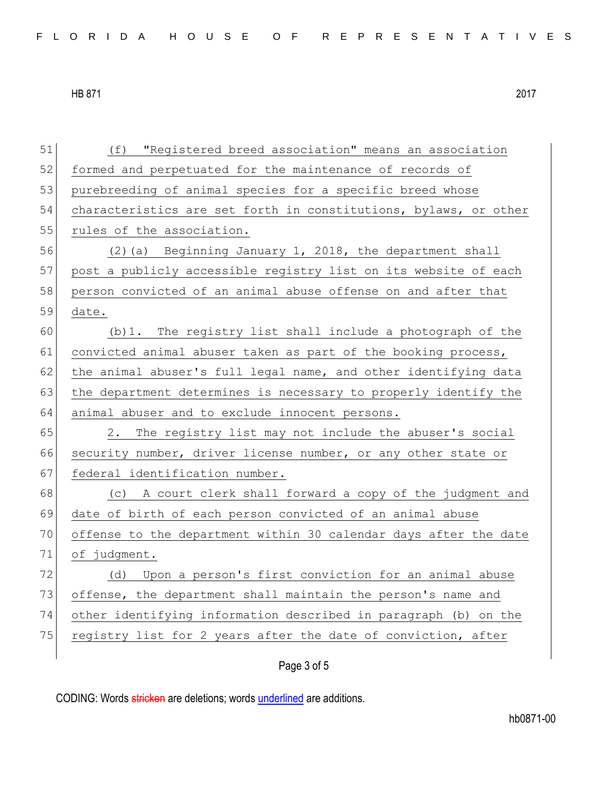| 51 | "Registered breed association" means an association<br>(f)       |
|----|------------------------------------------------------------------|
| 52 | formed and perpetuated for the maintenance of records of         |
| 53 | purebreeding of animal species for a specific breed whose        |
| 54 | characteristics are set forth in constitutions, bylaws, or other |
| 55 | rules of the association.                                        |
| 56 | (2) (a) Beginning January 1, 2018, the department shall          |
| 57 | post a publicly accessible registry list on its website of each  |
| 58 | person convicted of an animal abuse offense on and after that    |
| 59 | date.                                                            |
| 60 | (b) 1. The registry list shall include a photograph of the       |
| 61 | convicted animal abuser taken as part of the booking process,    |
| 62 | the animal abuser's full legal name, and other identifying data  |
| 63 | the department determines is necessary to properly identify the  |
| 64 | animal abuser and to exclude innocent persons.                   |
| 65 | 2. The registry list may not include the abuser's social         |
| 66 | security number, driver license number, or any other state or    |
| 67 | federal identification number.                                   |
| 68 | (c) A court clerk shall forward a copy of the judgment and       |
| 69 | date of birth of each person convicted of an animal abuse        |
| 70 | offense to the department within 30 calendar days after the date |
| 71 | of judgment.                                                     |
| 72 | Upon a person's first conviction for an animal abuse<br>(d)      |
| 73 | offense, the department shall maintain the person's name and     |
| 74 | other identifying information described in paragraph (b) on the  |
| 75 | registry list for 2 years after the date of conviction, after    |
|    |                                                                  |

Page 3 of 5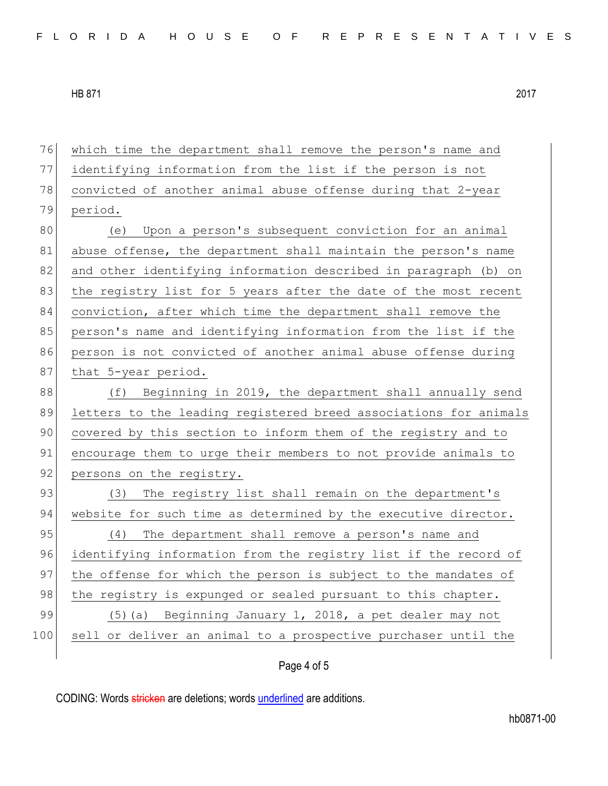| 76  | which time the department shall remove the person's name and     |
|-----|------------------------------------------------------------------|
| 77  | identifying information from the list if the person is not       |
| 78  | convicted of another animal abuse offense during that 2-year     |
| 79  | period.                                                          |
| 80  | (e) Upon a person's subsequent conviction for an animal          |
| 81  | abuse offense, the department shall maintain the person's name   |
| 82  | and other identifying information described in paragraph (b) on  |
| 83  | the registry list for 5 years after the date of the most recent  |
| 84  | conviction, after which time the department shall remove the     |
| 85  | person's name and identifying information from the list if the   |
| 86  | person is not convicted of another animal abuse offense during   |
| 87  | that 5-year period.                                              |
| 88  | (f) Beginning in 2019, the department shall annually send        |
| 89  | letters to the leading registered breed associations for animals |
| 90  | covered by this section to inform them of the registry and to    |
| 91  | encourage them to urge their members to not provide animals to   |
| 92  | persons on the registry.                                         |
| 93  | The registry list shall remain on the department's<br>(3)        |
| 94  | website for such time as determined by the executive director.   |
| 95  | The department shall remove a person's name and<br>(4)           |
| 96  | identifying information from the registry list if the record of  |
| 97  | the offense for which the person is subject to the mandates of   |
| 98  | the registry is expunged or sealed pursuant to this chapter.     |
| 99  | (5) (a) Beginning January 1, 2018, a pet dealer may not          |
| 100 | sell or deliver an animal to a prospective purchaser until the   |
|     |                                                                  |

## Page 4 of 5